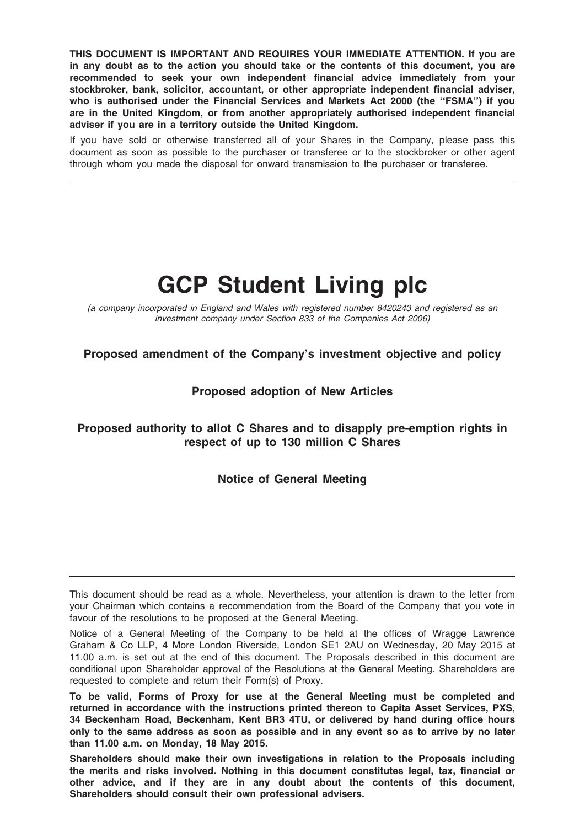THIS DOCUMENT IS IMPORTANT AND REQUIRES YOUR IMMEDIATE ATTENTION. If you are in any doubt as to the action you should take or the contents of this document, you are recommended to seek your own independent financial advice immediately from your stockbroker, bank, solicitor, accountant, or other appropriate independent financial adviser, who is authorised under the Financial Services and Markets Act 2000 (the "FSMA") if you are in the United Kingdom, or from another appropriately authorised independent financial adviser if you are in a territory outside the United Kingdom.

If you have sold or otherwise transferred all of your Shares in the Company, please pass this document as soon as possible to the purchaser or transferee or to the stockbroker or other agent through whom you made the disposal for onward transmission to the purchaser or transferee.

# GCP Student Living plc

(a company incorporated in England and Wales with registered number 8420243 and registered as an investment company under Section 833 of the Companies Act 2006)

# Proposed amendment of the Company's investment objective and policy

# Proposed adoption of New Articles

# Proposed authority to allot C Shares and to disapply pre-emption rights in respect of up to 130 million C Shares

# Notice of General Meeting

This document should be read as a whole. Nevertheless, your attention is drawn to the letter from your Chairman which contains a recommendation from the Board of the Company that you vote in favour of the resolutions to be proposed at the General Meeting.

Notice of a General Meeting of the Company to be held at the offices of Wragge Lawrence Graham & Co LLP, 4 More London Riverside, London SE1 2AU on Wednesday, 20 May 2015 at 11.00 a.m. is set out at the end of this document. The Proposals described in this document are conditional upon Shareholder approval of the Resolutions at the General Meeting. Shareholders are requested to complete and return their Form(s) of Proxy.

To be valid, Forms of Proxy for use at the General Meeting must be completed and returned in accordance with the instructions printed thereon to Capita Asset Services, PXS, 34 Beckenham Road, Beckenham, Kent BR3 4TU, or delivered by hand during office hours only to the same address as soon as possible and in any event so as to arrive by no later than 11.00 a.m. on Monday, 18 May 2015.

Shareholders should make their own investigations in relation to the Proposals including the merits and risks involved. Nothing in this document constitutes legal, tax, financial or other advice, and if they are in any doubt about the contents of this document, Shareholders should consult their own professional advisers.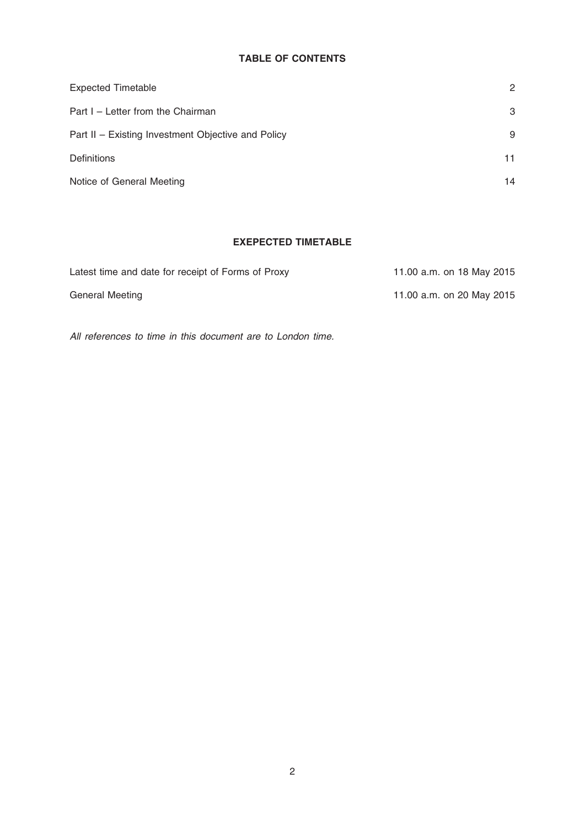## TABLE OF CONTENTS

| <b>Expected Timetable</b>                          | 2  |
|----------------------------------------------------|----|
| Part I - Letter from the Chairman                  | 3  |
| Part II - Existing Investment Objective and Policy | 9  |
| <b>Definitions</b>                                 | 11 |
| Notice of General Meeting                          | 14 |

# EXEPECTED TIMETABLE

| Latest time and date for receipt of Forms of Proxy | 11.00 a.m. on 18 May 2015 |
|----------------------------------------------------|---------------------------|
| General Meeting                                    | 11.00 a.m. on 20 May 2015 |

All references to time in this document are to London time.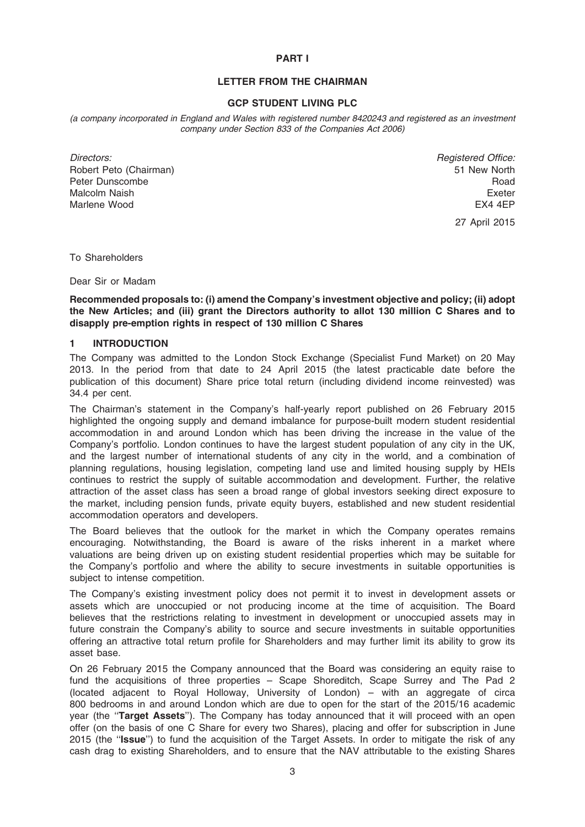## PART I

## LETTER FROM THE CHAIRMAN

### GCP STUDENT LIVING PLC

(a company incorporated in England and Wales with registered number 8420243 and registered as an investment company under Section 833 of the Companies Act 2006)

Directors: **Registered Office: Registered Office: Registered Office: Registered Office:** Robert Peto (Chairman) Peter Dunscombe Malcolm Naish Marlene Wood

51 New North Road Exeter EX4 4EP

27 April 2015

To Shareholders

Dear Sir or Madam

Recommended proposals to: (i) amend the Company's investment objective and policy; (ii) adopt the New Articles; and (iii) grant the Directors authority to allot 130 million C Shares and to disapply pre-emption rights in respect of 130 million C Shares

## 1 INTRODUCTION

The Company was admitted to the London Stock Exchange (Specialist Fund Market) on 20 May 2013. In the period from that date to 24 April 2015 (the latest practicable date before the publication of this document) Share price total return (including dividend income reinvested) was 34.4 per cent.

The Chairman's statement in the Company's half-yearly report published on 26 February 2015 highlighted the ongoing supply and demand imbalance for purpose-built modern student residential accommodation in and around London which has been driving the increase in the value of the Company's portfolio. London continues to have the largest student population of any city in the UK, and the largest number of international students of any city in the world, and a combination of planning regulations, housing legislation, competing land use and limited housing supply by HEIs continues to restrict the supply of suitable accommodation and development. Further, the relative attraction of the asset class has seen a broad range of global investors seeking direct exposure to the market, including pension funds, private equity buyers, established and new student residential accommodation operators and developers.

The Board believes that the outlook for the market in which the Company operates remains encouraging. Notwithstanding, the Board is aware of the risks inherent in a market where valuations are being driven up on existing student residential properties which may be suitable for the Company's portfolio and where the ability to secure investments in suitable opportunities is subject to intense competition.

The Company's existing investment policy does not permit it to invest in development assets or assets which are unoccupied or not producing income at the time of acquisition. The Board believes that the restrictions relating to investment in development or unoccupied assets may in future constrain the Company's ability to source and secure investments in suitable opportunities offering an attractive total return profile for Shareholders and may further limit its ability to grow its asset base.

On 26 February 2015 the Company announced that the Board was considering an equity raise to fund the acquisitions of three properties – Scape Shoreditch, Scape Surrey and The Pad 2 (located adjacent to Royal Holloway, University of London) – with an aggregate of circa 800 bedrooms in and around London which are due to open for the start of the 2015/16 academic year (the "Target Assets"). The Company has today announced that it will proceed with an open offer (on the basis of one C Share for every two Shares), placing and offer for subscription in June 2015 (the ''Issue'') to fund the acquisition of the Target Assets. In order to mitigate the risk of any cash drag to existing Shareholders, and to ensure that the NAV attributable to the existing Shares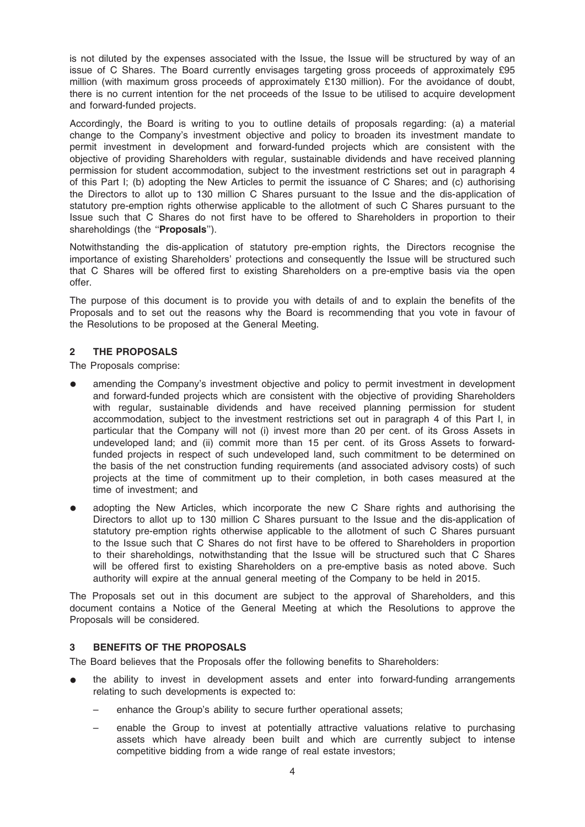is not diluted by the expenses associated with the Issue, the Issue will be structured by way of an issue of C Shares. The Board currently envisages targeting gross proceeds of approximately £95 million (with maximum gross proceeds of approximately £130 million). For the avoidance of doubt, there is no current intention for the net proceeds of the Issue to be utilised to acquire development and forward-funded projects.

Accordingly, the Board is writing to you to outline details of proposals regarding: (a) a material change to the Company's investment objective and policy to broaden its investment mandate to permit investment in development and forward-funded projects which are consistent with the objective of providing Shareholders with regular, sustainable dividends and have received planning permission for student accommodation, subject to the investment restrictions set out in paragraph 4 of this Part I; (b) adopting the New Articles to permit the issuance of C Shares; and (c) authorising the Directors to allot up to 130 million C Shares pursuant to the Issue and the dis-application of statutory pre-emption rights otherwise applicable to the allotment of such C Shares pursuant to the Issue such that C Shares do not first have to be offered to Shareholders in proportion to their shareholdings (the "Proposals").

Notwithstanding the dis-application of statutory pre-emption rights, the Directors recognise the importance of existing Shareholders' protections and consequently the Issue will be structured such that C Shares will be offered first to existing Shareholders on a pre-emptive basis via the open offer.

The purpose of this document is to provide you with details of and to explain the benefits of the Proposals and to set out the reasons why the Board is recommending that you vote in favour of the Resolutions to be proposed at the General Meeting.

## 2 THE PROPOSALS

The Proposals comprise:

- amending the Company's investment objective and policy to permit investment in development and forward-funded projects which are consistent with the objective of providing Shareholders with regular, sustainable dividends and have received planning permission for student accommodation, subject to the investment restrictions set out in paragraph 4 of this Part I, in particular that the Company will not (i) invest more than 20 per cent. of its Gross Assets in undeveloped land; and (ii) commit more than 15 per cent. of its Gross Assets to forwardfunded projects in respect of such undeveloped land, such commitment to be determined on the basis of the net construction funding requirements (and associated advisory costs) of such projects at the time of commitment up to their completion, in both cases measured at the time of investment; and
- adopting the New Articles, which incorporate the new C Share rights and authorising the Directors to allot up to 130 million C Shares pursuant to the Issue and the dis-application of statutory pre-emption rights otherwise applicable to the allotment of such C Shares pursuant to the Issue such that C Shares do not first have to be offered to Shareholders in proportion to their shareholdings, notwithstanding that the Issue will be structured such that C Shares will be offered first to existing Shareholders on a pre-emptive basis as noted above. Such authority will expire at the annual general meeting of the Company to be held in 2015.

The Proposals set out in this document are subject to the approval of Shareholders, and this document contains a Notice of the General Meeting at which the Resolutions to approve the Proposals will be considered.

## 3 BENEFITS OF THE PROPOSALS

The Board believes that the Proposals offer the following benefits to Shareholders:

- the ability to invest in development assets and enter into forward-funding arrangements relating to such developments is expected to:
	- enhance the Group's ability to secure further operational assets;
	- enable the Group to invest at potentially attractive valuations relative to purchasing assets which have already been built and which are currently subject to intense competitive bidding from a wide range of real estate investors;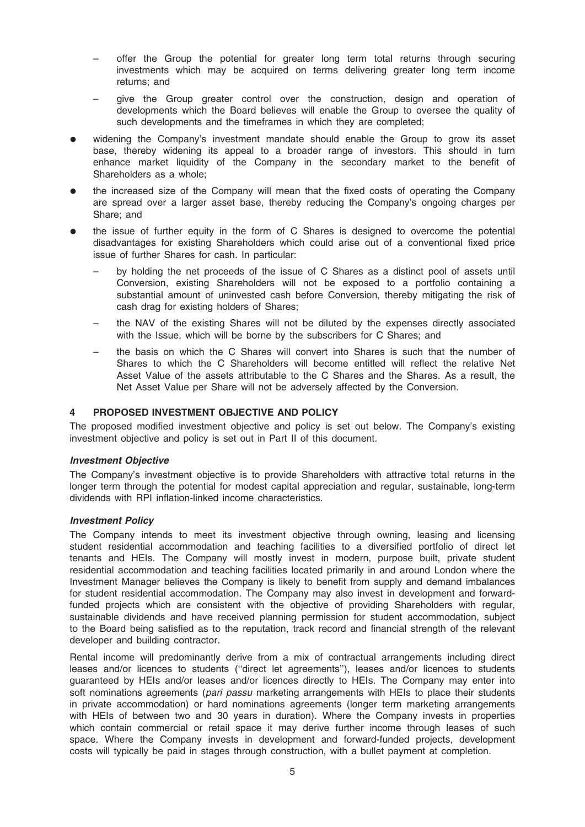- offer the Group the potential for greater long term total returns through securing investments which may be acquired on terms delivering greater long term income returns; and
- give the Group greater control over the construction, design and operation of developments which the Board believes will enable the Group to oversee the quality of such developments and the timeframes in which they are completed;
- widening the Company's investment mandate should enable the Group to grow its asset base, thereby widening its appeal to a broader range of investors. This should in turn enhance market liquidity of the Company in the secondary market to the benefit of Shareholders as a whole;
- the increased size of the Company will mean that the fixed costs of operating the Company are spread over a larger asset base, thereby reducing the Company's ongoing charges per Share; and
- the issue of further equity in the form of C Shares is designed to overcome the potential disadvantages for existing Shareholders which could arise out of a conventional fixed price issue of further Shares for cash. In particular:
	- by holding the net proceeds of the issue of C Shares as a distinct pool of assets until Conversion, existing Shareholders will not be exposed to a portfolio containing a substantial amount of uninvested cash before Conversion, thereby mitigating the risk of cash drag for existing holders of Shares;
	- the NAV of the existing Shares will not be diluted by the expenses directly associated with the Issue, which will be borne by the subscribers for C Shares; and
	- the basis on which the C Shares will convert into Shares is such that the number of Shares to which the C Shareholders will become entitled will reflect the relative Net Asset Value of the assets attributable to the C Shares and the Shares. As a result, the Net Asset Value per Share will not be adversely affected by the Conversion.

## 4 PROPOSED INVESTMENT OBJECTIVE AND POLICY

The proposed modified investment objective and policy is set out below. The Company's existing investment objective and policy is set out in Part II of this document.

#### Investment Objective

The Company's investment objective is to provide Shareholders with attractive total returns in the longer term through the potential for modest capital appreciation and regular, sustainable, long-term dividends with RPI inflation-linked income characteristics.

#### Investment Policy

The Company intends to meet its investment objective through owning, leasing and licensing student residential accommodation and teaching facilities to a diversified portfolio of direct let tenants and HEIs. The Company will mostly invest in modern, purpose built, private student residential accommodation and teaching facilities located primarily in and around London where the Investment Manager believes the Company is likely to benefit from supply and demand imbalances for student residential accommodation. The Company may also invest in development and forwardfunded projects which are consistent with the objective of providing Shareholders with regular, sustainable dividends and have received planning permission for student accommodation, subject to the Board being satisfied as to the reputation, track record and financial strength of the relevant developer and building contractor.

Rental income will predominantly derive from a mix of contractual arrangements including direct leases and/or licences to students (''direct let agreements''), leases and/or licences to students guaranteed by HEIs and/or leases and/or licences directly to HEIs. The Company may enter into soft nominations agreements (pari passu marketing arrangements with HEIs to place their students in private accommodation) or hard nominations agreements (longer term marketing arrangements with HEIs of between two and 30 years in duration). Where the Company invests in properties which contain commercial or retail space it may derive further income through leases of such space. Where the Company invests in development and forward-funded projects, development costs will typically be paid in stages through construction, with a bullet payment at completion.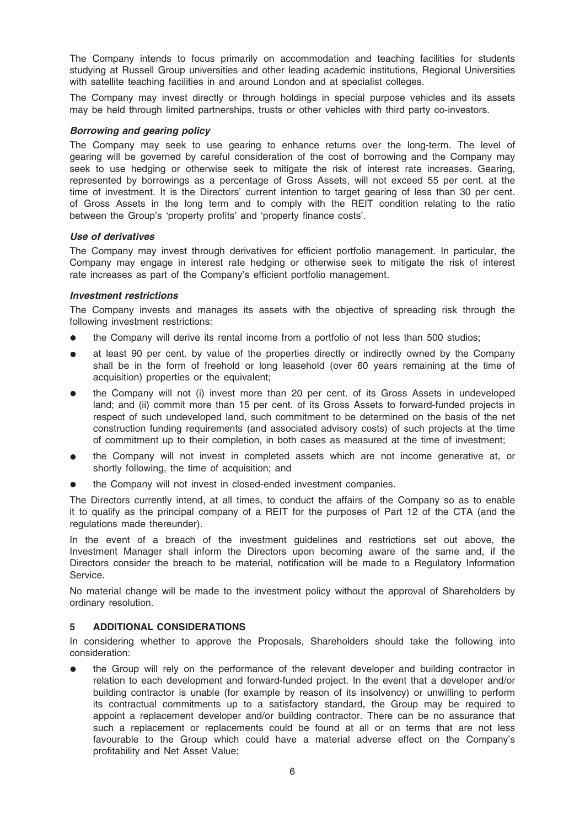The Company intends to focus primarily on accommodation and teaching facilities for students studying at Russell Group universities and other leading academic institutions, Regional Universities with satellite teaching facilities in and around London and at specialist colleges.

The Company may invest directly or through holdings in special purpose vehicles and its assets may be held through limited partnerships, trusts or other vehicles with third party co-investors.

## Borrowing and gearing policy

The Company may seek to use gearing to enhance returns over the long-term. The level of gearing will be governed by careful consideration of the cost of borrowing and the Company may seek to use hedging or otherwise seek to mitigate the risk of interest rate increases. Gearing, represented by borrowings as a percentage of Gross Assets, will not exceed 55 per cent. at the time of investment. It is the Directors' current intention to target gearing of less than 30 per cent. of Gross Assets in the long term and to comply with the REIT condition relating to the ratio between the Group's 'property profits' and 'property finance costs'.

#### Use of derivatives

The Company may invest through derivatives for efficient portfolio management. In particular, the Company may engage in interest rate hedging or otherwise seek to mitigate the risk of interest rate increases as part of the Company's efficient portfolio management.

## Investment restrictions

The Company invests and manages its assets with the objective of spreading risk through the following investment restrictions:

- the Company will derive its rental income from a portfolio of not less than 500 studios;
- at least 90 per cent. by value of the properties directly or indirectly owned by the Company shall be in the form of freehold or long leasehold (over 60 years remaining at the time of acquisition) properties or the equivalent;
- the Company will not (i) invest more than 20 per cent. of its Gross Assets in undeveloped land; and (ii) commit more than 15 per cent. of its Gross Assets to forward-funded projects in respect of such undeveloped land, such commitment to be determined on the basis of the net construction funding requirements (and associated advisory costs) of such projects at the time of commitment up to their completion, in both cases as measured at the time of investment;
- the Company will not invest in completed assets which are not income generative at, or shortly following, the time of acquisition; and
- the Company will not invest in closed-ended investment companies.

The Directors currently intend, at all times, to conduct the affairs of the Company so as to enable it to qualify as the principal company of a REIT for the purposes of Part 12 of the CTA (and the regulations made thereunder).

In the event of a breach of the investment guidelines and restrictions set out above, the Investment Manager shall inform the Directors upon becoming aware of the same and, if the Directors consider the breach to be material, notification will be made to a Regulatory Information Service.

No material change will be made to the investment policy without the approval of Shareholders by ordinary resolution.

## 5 ADDITIONAL CONSIDERATIONS

In considering whether to approve the Proposals, Shareholders should take the following into consideration:

the Group will rely on the performance of the relevant developer and building contractor in relation to each development and forward-funded project. In the event that a developer and/or building contractor is unable (for example by reason of its insolvency) or unwilling to perform its contractual commitments up to a satisfactory standard, the Group may be required to appoint a replacement developer and/or building contractor. There can be no assurance that such a replacement or replacements could be found at all or on terms that are not less favourable to the Group which could have a material adverse effect on the Company's profitability and Net Asset Value;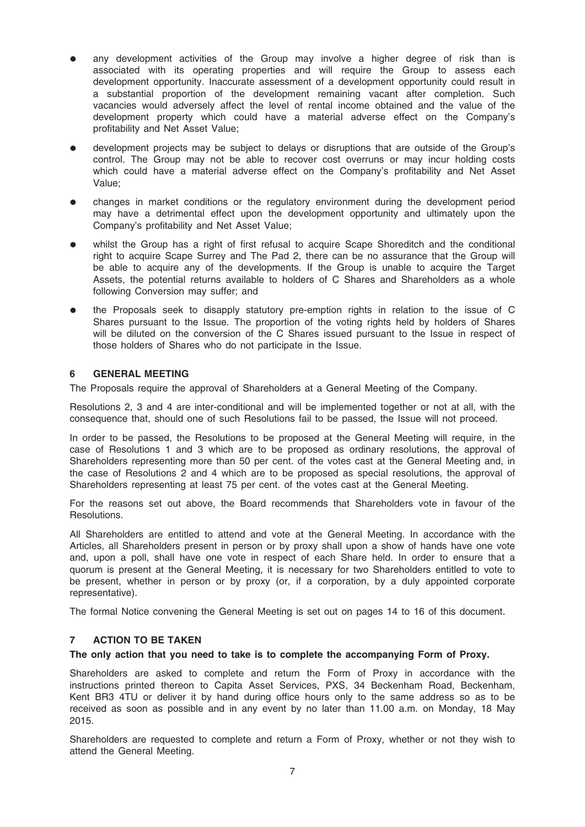- any development activities of the Group may involve a higher degree of risk than is associated with its operating properties and will require the Group to assess each development opportunity. Inaccurate assessment of a development opportunity could result in a substantial proportion of the development remaining vacant after completion. Such vacancies would adversely affect the level of rental income obtained and the value of the development property which could have a material adverse effect on the Company's profitability and Net Asset Value;
- development projects may be subject to delays or disruptions that are outside of the Group's control. The Group may not be able to recover cost overruns or may incur holding costs which could have a material adverse effect on the Company's profitability and Net Asset Value;
- changes in market conditions or the regulatory environment during the development period may have a detrimental effect upon the development opportunity and ultimately upon the Company's profitability and Net Asset Value;
- whilst the Group has a right of first refusal to acquire Scape Shoreditch and the conditional right to acquire Scape Surrey and The Pad 2, there can be no assurance that the Group will be able to acquire any of the developments. If the Group is unable to acquire the Target Assets, the potential returns available to holders of C Shares and Shareholders as a whole following Conversion may suffer; and
- the Proposals seek to disapply statutory pre-emption rights in relation to the issue of C Shares pursuant to the Issue. The proportion of the voting rights held by holders of Shares will be diluted on the conversion of the C Shares issued pursuant to the Issue in respect of those holders of Shares who do not participate in the Issue.

## 6 GENERAL MEETING

The Proposals require the approval of Shareholders at a General Meeting of the Company.

Resolutions 2, 3 and 4 are inter-conditional and will be implemented together or not at all, with the consequence that, should one of such Resolutions fail to be passed, the Issue will not proceed.

In order to be passed, the Resolutions to be proposed at the General Meeting will require, in the case of Resolutions 1 and 3 which are to be proposed as ordinary resolutions, the approval of Shareholders representing more than 50 per cent. of the votes cast at the General Meeting and, in the case of Resolutions 2 and 4 which are to be proposed as special resolutions, the approval of Shareholders representing at least 75 per cent. of the votes cast at the General Meeting.

For the reasons set out above, the Board recommends that Shareholders vote in favour of the Resolutions.

All Shareholders are entitled to attend and vote at the General Meeting. In accordance with the Articles, all Shareholders present in person or by proxy shall upon a show of hands have one vote and, upon a poll, shall have one vote in respect of each Share held. In order to ensure that a quorum is present at the General Meeting, it is necessary for two Shareholders entitled to vote to be present, whether in person or by proxy (or, if a corporation, by a duly appointed corporate representative).

The formal Notice convening the General Meeting is set out on pages 14 to 16 of this document.

## 7 ACTION TO BE TAKEN

## The only action that you need to take is to complete the accompanying Form of Proxy.

Shareholders are asked to complete and return the Form of Proxy in accordance with the instructions printed thereon to Capita Asset Services, PXS, 34 Beckenham Road, Beckenham, Kent BR3 4TU or deliver it by hand during office hours only to the same address so as to be received as soon as possible and in any event by no later than 11.00 a.m. on Monday, 18 May 2015.

Shareholders are requested to complete and return a Form of Proxy, whether or not they wish to attend the General Meeting.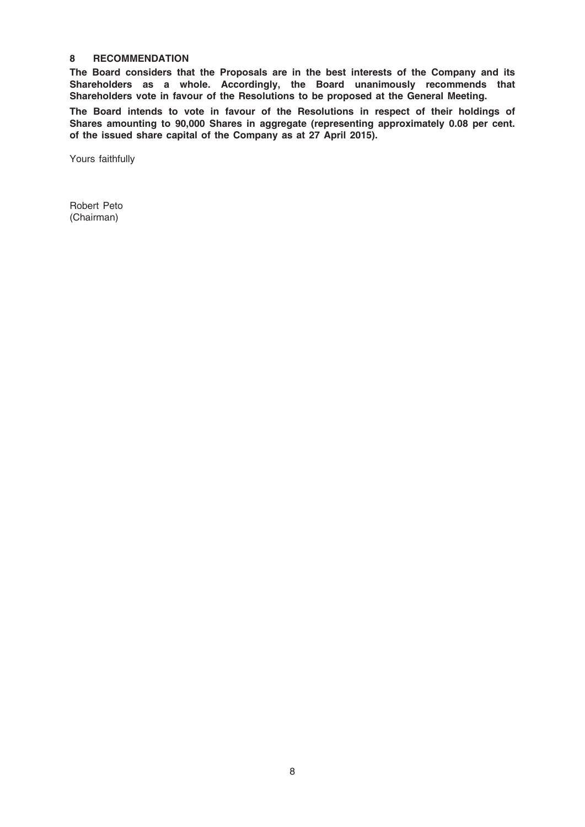## 8 RECOMMENDATION

The Board considers that the Proposals are in the best interests of the Company and its Shareholders as a whole. Accordingly, the Board unanimously recommends that Shareholders vote in favour of the Resolutions to be proposed at the General Meeting.

The Board intends to vote in favour of the Resolutions in respect of their holdings of Shares amounting to 90,000 Shares in aggregate (representing approximately 0.08 per cent. of the issued share capital of the Company as at 27 April 2015).

Yours faithfully

Robert Peto (Chairman)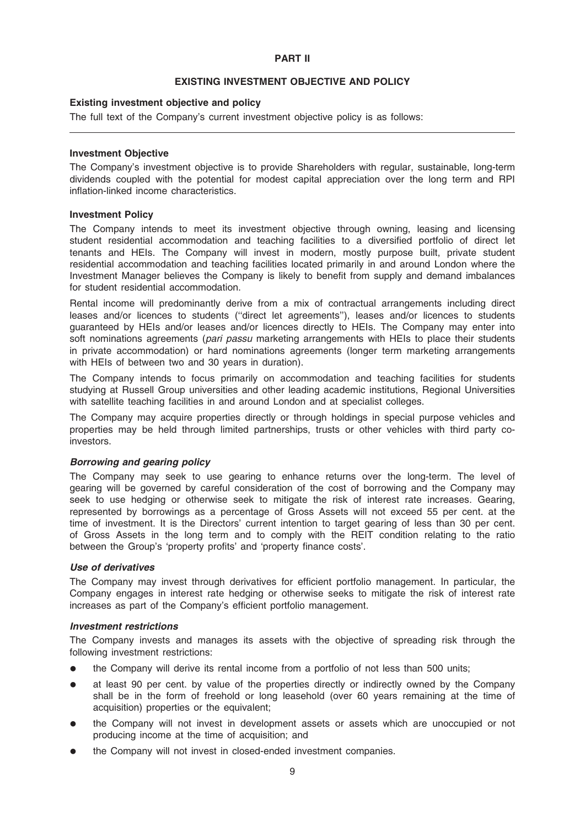## PART II

## EXISTING INVESTMENT OBJECTIVE AND POLICY

## Existing investment objective and policy

The full text of the Company's current investment objective policy is as follows:

#### Investment Objective

The Company's investment objective is to provide Shareholders with regular, sustainable, long-term dividends coupled with the potential for modest capital appreciation over the long term and RPI inflation-linked income characteristics.

#### Investment Policy

The Company intends to meet its investment objective through owning, leasing and licensing student residential accommodation and teaching facilities to a diversified portfolio of direct let tenants and HEIs. The Company will invest in modern, mostly purpose built, private student residential accommodation and teaching facilities located primarily in and around London where the Investment Manager believes the Company is likely to benefit from supply and demand imbalances for student residential accommodation.

Rental income will predominantly derive from a mix of contractual arrangements including direct leases and/or licences to students (''direct let agreements''), leases and/or licences to students guaranteed by HEIs and/or leases and/or licences directly to HEIs. The Company may enter into soft nominations agreements (pari passu marketing arrangements with HEIs to place their students in private accommodation) or hard nominations agreements (longer term marketing arrangements with HEIs of between two and 30 years in duration).

The Company intends to focus primarily on accommodation and teaching facilities for students studying at Russell Group universities and other leading academic institutions, Regional Universities with satellite teaching facilities in and around London and at specialist colleges.

The Company may acquire properties directly or through holdings in special purpose vehicles and properties may be held through limited partnerships, trusts or other vehicles with third party coinvestors.

### Borrowing and gearing policy

The Company may seek to use gearing to enhance returns over the long-term. The level of gearing will be governed by careful consideration of the cost of borrowing and the Company may seek to use hedging or otherwise seek to mitigate the risk of interest rate increases. Gearing, represented by borrowings as a percentage of Gross Assets will not exceed 55 per cent. at the time of investment. It is the Directors' current intention to target gearing of less than 30 per cent. of Gross Assets in the long term and to comply with the REIT condition relating to the ratio between the Group's 'property profits' and 'property finance costs'.

## Use of derivatives

The Company may invest through derivatives for efficient portfolio management. In particular, the Company engages in interest rate hedging or otherwise seeks to mitigate the risk of interest rate increases as part of the Company's efficient portfolio management.

## Investment restrictions

The Company invests and manages its assets with the objective of spreading risk through the following investment restrictions:

- the Company will derive its rental income from a portfolio of not less than 500 units;
- at least 90 per cent. by value of the properties directly or indirectly owned by the Company shall be in the form of freehold or long leasehold (over 60 years remaining at the time of acquisition) properties or the equivalent;
- the Company will not invest in development assets or assets which are unoccupied or not producing income at the time of acquisition; and
- the Company will not invest in closed-ended investment companies.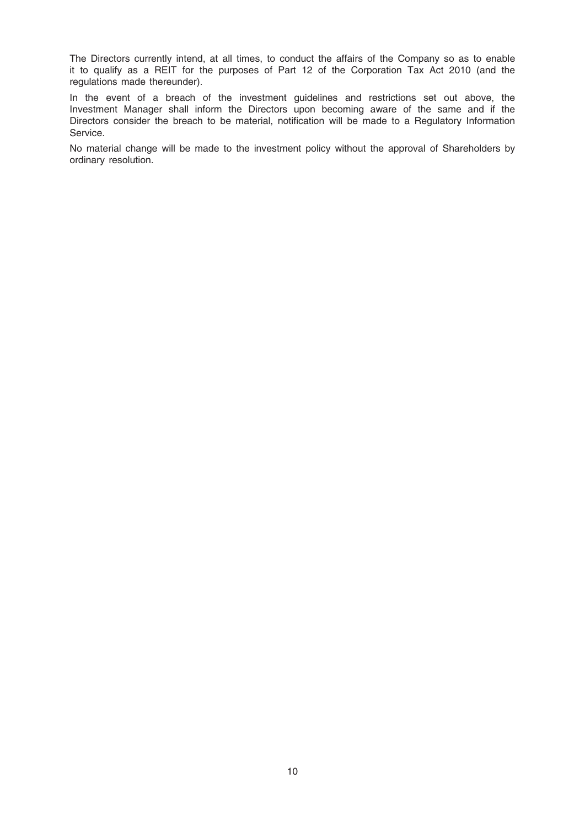The Directors currently intend, at all times, to conduct the affairs of the Company so as to enable it to qualify as a REIT for the purposes of Part 12 of the Corporation Tax Act 2010 (and the regulations made thereunder).

In the event of a breach of the investment guidelines and restrictions set out above, the Investment Manager shall inform the Directors upon becoming aware of the same and if the Directors consider the breach to be material, notification will be made to a Regulatory Information Service.

No material change will be made to the investment policy without the approval of Shareholders by ordinary resolution.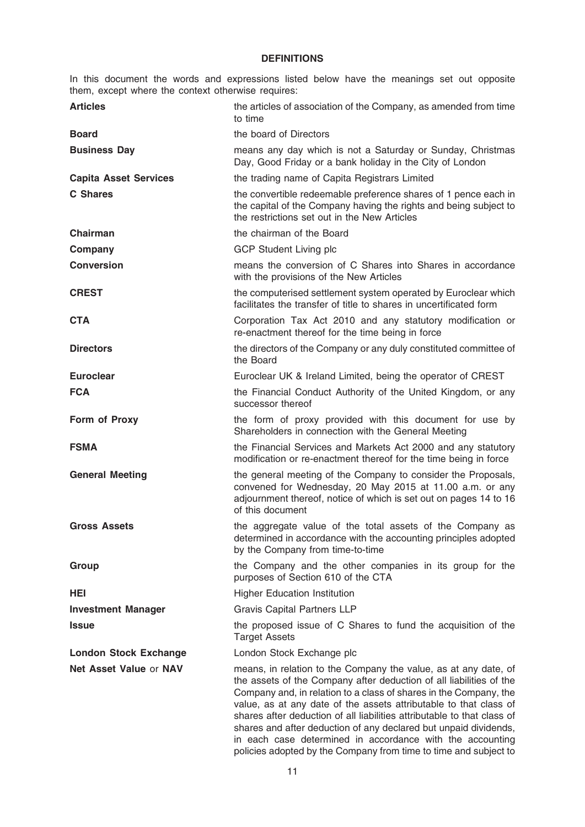## **DEFINITIONS**

In this document the words and expressions listed below have the meanings set out opposite them, except where the context otherwise requires:

| <b>Articles</b>              | the articles of association of the Company, as amended from time<br>to time                                                                                                                                                                                                                                                                                                                                                                                                                                                                                      |
|------------------------------|------------------------------------------------------------------------------------------------------------------------------------------------------------------------------------------------------------------------------------------------------------------------------------------------------------------------------------------------------------------------------------------------------------------------------------------------------------------------------------------------------------------------------------------------------------------|
| <b>Board</b>                 | the board of Directors                                                                                                                                                                                                                                                                                                                                                                                                                                                                                                                                           |
| <b>Business Day</b>          | means any day which is not a Saturday or Sunday, Christmas<br>Day, Good Friday or a bank holiday in the City of London                                                                                                                                                                                                                                                                                                                                                                                                                                           |
| <b>Capita Asset Services</b> | the trading name of Capita Registrars Limited                                                                                                                                                                                                                                                                                                                                                                                                                                                                                                                    |
| <b>C</b> Shares              | the convertible redeemable preference shares of 1 pence each in<br>the capital of the Company having the rights and being subject to<br>the restrictions set out in the New Articles                                                                                                                                                                                                                                                                                                                                                                             |
| Chairman                     | the chairman of the Board                                                                                                                                                                                                                                                                                                                                                                                                                                                                                                                                        |
| Company                      | <b>GCP Student Living plc</b>                                                                                                                                                                                                                                                                                                                                                                                                                                                                                                                                    |
| <b>Conversion</b>            | means the conversion of C Shares into Shares in accordance<br>with the provisions of the New Articles                                                                                                                                                                                                                                                                                                                                                                                                                                                            |
| <b>CREST</b>                 | the computerised settlement system operated by Euroclear which<br>facilitates the transfer of title to shares in uncertificated form                                                                                                                                                                                                                                                                                                                                                                                                                             |
| <b>CTA</b>                   | Corporation Tax Act 2010 and any statutory modification or<br>re-enactment thereof for the time being in force                                                                                                                                                                                                                                                                                                                                                                                                                                                   |
| <b>Directors</b>             | the directors of the Company or any duly constituted committee of<br>the Board                                                                                                                                                                                                                                                                                                                                                                                                                                                                                   |
| <b>Euroclear</b>             | Euroclear UK & Ireland Limited, being the operator of CREST                                                                                                                                                                                                                                                                                                                                                                                                                                                                                                      |
| <b>FCA</b>                   | the Financial Conduct Authority of the United Kingdom, or any<br>successor thereof                                                                                                                                                                                                                                                                                                                                                                                                                                                                               |
| Form of Proxy                | the form of proxy provided with this document for use by<br>Shareholders in connection with the General Meeting                                                                                                                                                                                                                                                                                                                                                                                                                                                  |
| <b>FSMA</b>                  | the Financial Services and Markets Act 2000 and any statutory<br>modification or re-enactment thereof for the time being in force                                                                                                                                                                                                                                                                                                                                                                                                                                |
| <b>General Meeting</b>       | the general meeting of the Company to consider the Proposals,<br>convened for Wednesday, 20 May 2015 at 11.00 a.m. or any<br>adjournment thereof, notice of which is set out on pages 14 to 16<br>of this document                                                                                                                                                                                                                                                                                                                                               |
| <b>Gross Assets</b>          | the aggregate value of the total assets of the Company as<br>determined in accordance with the accounting principles adopted<br>by the Company from time-to-time                                                                                                                                                                                                                                                                                                                                                                                                 |
| Group                        | the Company and the other companies in its group for the<br>purposes of Section 610 of the CTA                                                                                                                                                                                                                                                                                                                                                                                                                                                                   |
| <b>HEI</b>                   | <b>Higher Education Institution</b>                                                                                                                                                                                                                                                                                                                                                                                                                                                                                                                              |
| <b>Investment Manager</b>    | <b>Gravis Capital Partners LLP</b>                                                                                                                                                                                                                                                                                                                                                                                                                                                                                                                               |
| <b>Issue</b>                 | the proposed issue of C Shares to fund the acquisition of the<br><b>Target Assets</b>                                                                                                                                                                                                                                                                                                                                                                                                                                                                            |
| <b>London Stock Exchange</b> | London Stock Exchange plc                                                                                                                                                                                                                                                                                                                                                                                                                                                                                                                                        |
| Net Asset Value or NAV       | means, in relation to the Company the value, as at any date, of<br>the assets of the Company after deduction of all liabilities of the<br>Company and, in relation to a class of shares in the Company, the<br>value, as at any date of the assets attributable to that class of<br>shares after deduction of all liabilities attributable to that class of<br>shares and after deduction of any declared but unpaid dividends,<br>in each case determined in accordance with the accounting<br>policies adopted by the Company from time to time and subject to |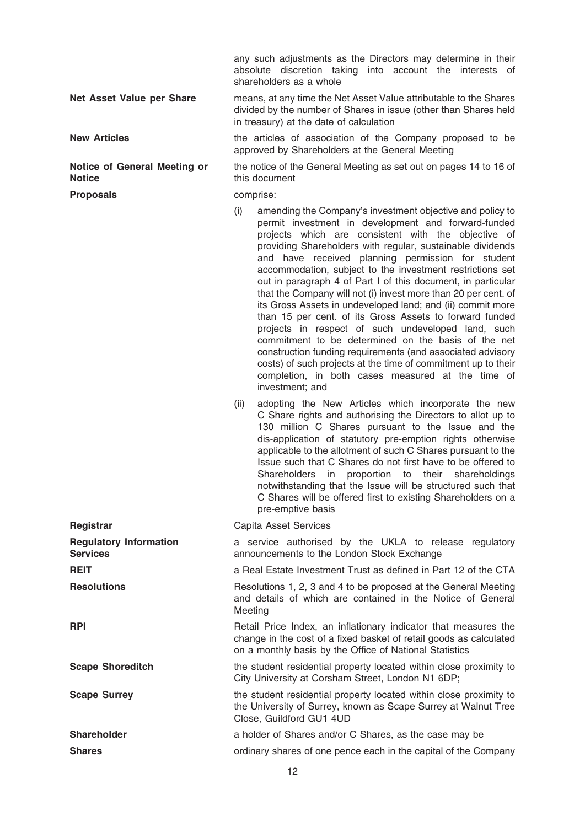|                                                  | any such adjustments as the Directors may determine in their<br>absolute discretion taking into account the interests of<br>shareholders as a whole                                                                                                                                                                                                                                                                                                                                                                                                                                                                                                                                                                                                                                                                                                                                                                                           |
|--------------------------------------------------|-----------------------------------------------------------------------------------------------------------------------------------------------------------------------------------------------------------------------------------------------------------------------------------------------------------------------------------------------------------------------------------------------------------------------------------------------------------------------------------------------------------------------------------------------------------------------------------------------------------------------------------------------------------------------------------------------------------------------------------------------------------------------------------------------------------------------------------------------------------------------------------------------------------------------------------------------|
| <b>Net Asset Value per Share</b>                 | means, at any time the Net Asset Value attributable to the Shares<br>divided by the number of Shares in issue (other than Shares held<br>in treasury) at the date of calculation                                                                                                                                                                                                                                                                                                                                                                                                                                                                                                                                                                                                                                                                                                                                                              |
| <b>New Articles</b>                              | the articles of association of the Company proposed to be<br>approved by Shareholders at the General Meeting                                                                                                                                                                                                                                                                                                                                                                                                                                                                                                                                                                                                                                                                                                                                                                                                                                  |
| Notice of General Meeting or<br><b>Notice</b>    | the notice of the General Meeting as set out on pages 14 to 16 of<br>this document                                                                                                                                                                                                                                                                                                                                                                                                                                                                                                                                                                                                                                                                                                                                                                                                                                                            |
| <b>Proposals</b>                                 | comprise:                                                                                                                                                                                                                                                                                                                                                                                                                                                                                                                                                                                                                                                                                                                                                                                                                                                                                                                                     |
|                                                  | (i)<br>amending the Company's investment objective and policy to<br>permit investment in development and forward-funded<br>projects which are consistent with the objective of<br>providing Shareholders with regular, sustainable dividends<br>and have received planning permission for student<br>accommodation, subject to the investment restrictions set<br>out in paragraph 4 of Part I of this document, in particular<br>that the Company will not (i) invest more than 20 per cent. of<br>its Gross Assets in undeveloped land; and (ii) commit more<br>than 15 per cent. of its Gross Assets to forward funded<br>projects in respect of such undeveloped land, such<br>commitment to be determined on the basis of the net<br>construction funding requirements (and associated advisory<br>costs) of such projects at the time of commitment up to their<br>completion, in both cases measured at the time of<br>investment; and |
|                                                  | (ii)<br>adopting the New Articles which incorporate the new<br>C Share rights and authorising the Directors to allot up to<br>130 million C Shares pursuant to the Issue and the<br>dis-application of statutory pre-emption rights otherwise<br>applicable to the allotment of such C Shares pursuant to the<br>Issue such that C Shares do not first have to be offered to<br>Shareholders in proportion to their shareholdings<br>notwithstanding that the Issue will be structured such that<br>C Shares will be offered first to existing Shareholders on a<br>pre-emptive basis                                                                                                                                                                                                                                                                                                                                                         |
| Registrar                                        | Capita Asset Services                                                                                                                                                                                                                                                                                                                                                                                                                                                                                                                                                                                                                                                                                                                                                                                                                                                                                                                         |
| <b>Regulatory Information</b><br><b>Services</b> | a service authorised by the UKLA to release regulatory<br>announcements to the London Stock Exchange                                                                                                                                                                                                                                                                                                                                                                                                                                                                                                                                                                                                                                                                                                                                                                                                                                          |
| <b>REIT</b>                                      | a Real Estate Investment Trust as defined in Part 12 of the CTA                                                                                                                                                                                                                                                                                                                                                                                                                                                                                                                                                                                                                                                                                                                                                                                                                                                                               |
| <b>Resolutions</b>                               | Resolutions 1, 2, 3 and 4 to be proposed at the General Meeting<br>and details of which are contained in the Notice of General<br>Meeting                                                                                                                                                                                                                                                                                                                                                                                                                                                                                                                                                                                                                                                                                                                                                                                                     |
| <b>RPI</b>                                       | Retail Price Index, an inflationary indicator that measures the<br>change in the cost of a fixed basket of retail goods as calculated<br>on a monthly basis by the Office of National Statistics                                                                                                                                                                                                                                                                                                                                                                                                                                                                                                                                                                                                                                                                                                                                              |
| <b>Scape Shoreditch</b>                          | the student residential property located within close proximity to<br>City University at Corsham Street, London N1 6DP;                                                                                                                                                                                                                                                                                                                                                                                                                                                                                                                                                                                                                                                                                                                                                                                                                       |
| <b>Scape Surrey</b>                              | the student residential property located within close proximity to<br>the University of Surrey, known as Scape Surrey at Walnut Tree<br>Close, Guildford GU1 4UD                                                                                                                                                                                                                                                                                                                                                                                                                                                                                                                                                                                                                                                                                                                                                                              |
| <b>Shareholder</b>                               | a holder of Shares and/or C Shares, as the case may be                                                                                                                                                                                                                                                                                                                                                                                                                                                                                                                                                                                                                                                                                                                                                                                                                                                                                        |
| <b>Shares</b>                                    | ordinary shares of one pence each in the capital of the Company                                                                                                                                                                                                                                                                                                                                                                                                                                                                                                                                                                                                                                                                                                                                                                                                                                                                               |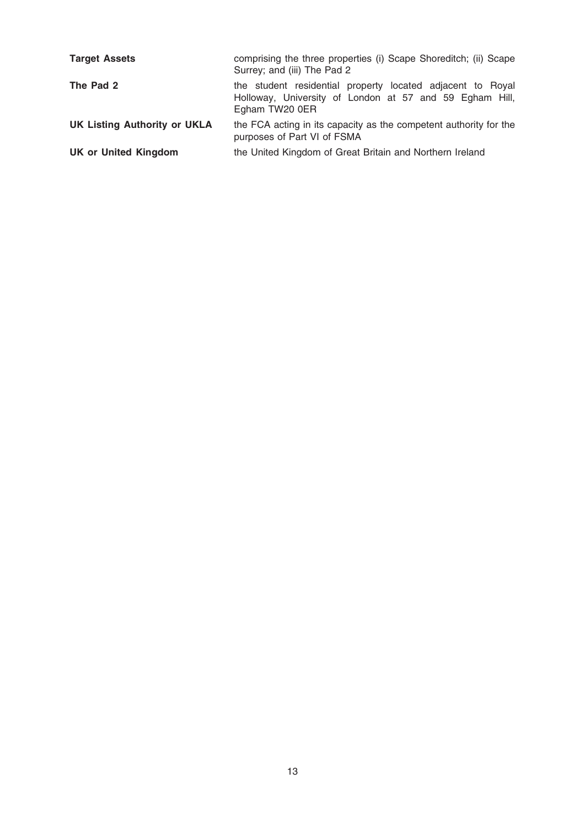| <b>Target Assets</b>                | comprising the three properties (i) Scape Shoreditch; (ii) Scape<br>Surrey; and (iii) The Pad 2                                         |
|-------------------------------------|-----------------------------------------------------------------------------------------------------------------------------------------|
| The Pad 2                           | the student residential property located adjacent to Royal<br>Holloway, University of London at 57 and 59 Egham Hill,<br>Egham TW20 0ER |
| <b>UK Listing Authority or UKLA</b> | the FCA acting in its capacity as the competent authority for the<br>purposes of Part VI of FSMA                                        |
| <b>UK or United Kingdom</b>         | the United Kingdom of Great Britain and Northern Ireland                                                                                |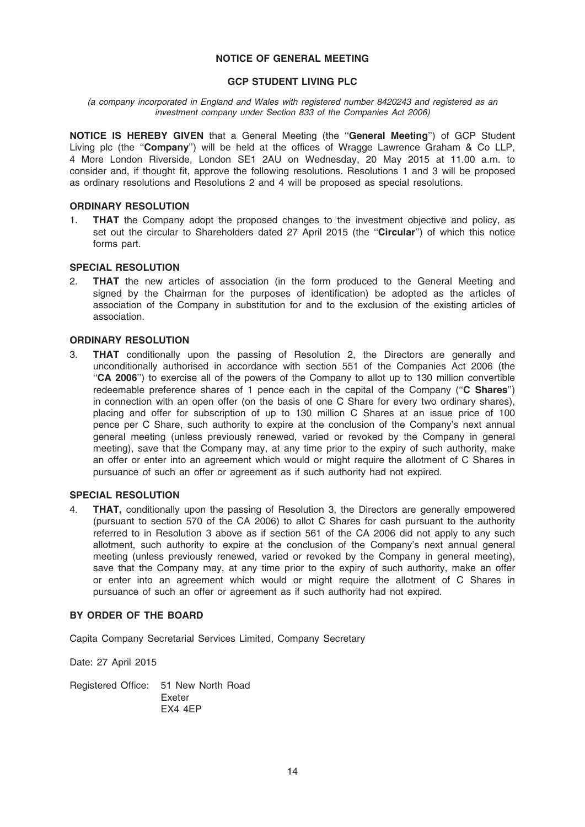## NOTICE OF GENERAL MEETING

#### GCP STUDENT LIVING PLC

(a company incorporated in England and Wales with registered number 8420243 and registered as an investment company under Section 833 of the Companies Act 2006)

NOTICE IS HEREBY GIVEN that a General Meeting (the ''General Meeting'') of GCP Student Living plc (the "Company") will be held at the offices of Wragge Lawrence Graham & Co LLP, 4 More London Riverside, London SE1 2AU on Wednesday, 20 May 2015 at 11.00 a.m. to consider and, if thought fit, approve the following resolutions. Resolutions 1 and 3 will be proposed as ordinary resolutions and Resolutions 2 and 4 will be proposed as special resolutions.

#### ORDINARY RESOLUTION

1. THAT the Company adopt the proposed changes to the investment objective and policy, as set out the circular to Shareholders dated 27 April 2015 (the "Circular") of which this notice forms part.

#### SPECIAL RESOLUTION

2. **THAT** the new articles of association (in the form produced to the General Meeting and signed by the Chairman for the purposes of identification) be adopted as the articles of association of the Company in substitution for and to the exclusion of the existing articles of association.

## ORDINARY RESOLUTION

3. THAT conditionally upon the passing of Resolution 2, the Directors are generally and unconditionally authorised in accordance with section 551 of the Companies Act 2006 (the ''CA 2006'') to exercise all of the powers of the Company to allot up to 130 million convertible redeemable preference shares of 1 pence each in the capital of the Company ("C Shares") in connection with an open offer (on the basis of one C Share for every two ordinary shares), placing and offer for subscription of up to 130 million C Shares at an issue price of 100 pence per C Share, such authority to expire at the conclusion of the Company's next annual general meeting (unless previously renewed, varied or revoked by the Company in general meeting), save that the Company may, at any time prior to the expiry of such authority, make an offer or enter into an agreement which would or might require the allotment of C Shares in pursuance of such an offer or agreement as if such authority had not expired.

#### SPECIAL RESOLUTION

4. THAT, conditionally upon the passing of Resolution 3, the Directors are generally empowered (pursuant to section 570 of the CA 2006) to allot C Shares for cash pursuant to the authority referred to in Resolution 3 above as if section 561 of the CA 2006 did not apply to any such allotment, such authority to expire at the conclusion of the Company's next annual general meeting (unless previously renewed, varied or revoked by the Company in general meeting), save that the Company may, at any time prior to the expiry of such authority, make an offer or enter into an agreement which would or might require the allotment of C Shares in pursuance of such an offer or agreement as if such authority had not expired.

#### BY ORDER OF THE BOARD

Capita Company Secretarial Services Limited, Company Secretary

Date: 27 April 2015

Registered Office: 51 New North Road Exeter EX4 4EP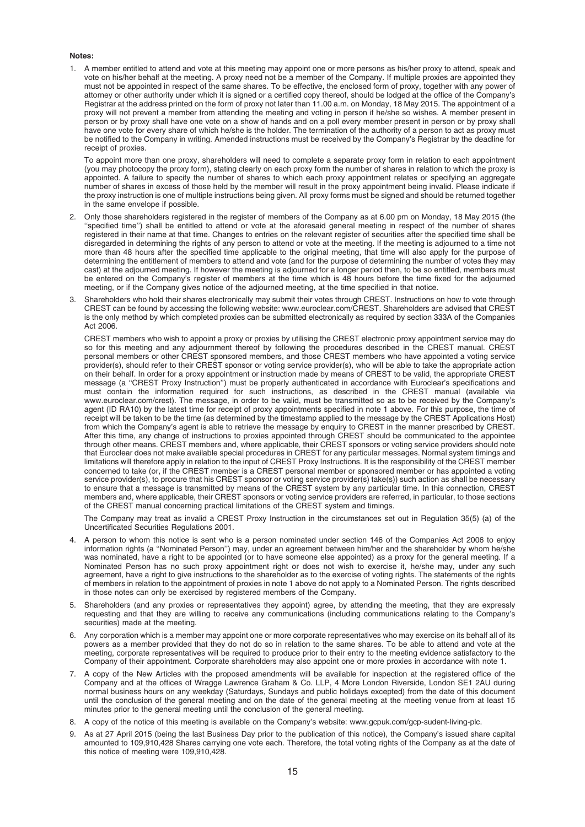#### Notes:

1. A member entitled to attend and vote at this meeting may appoint one or more persons as his/her proxy to attend, speak and vote on his/her behalf at the meeting. A proxy need not be a member of the Company. If multiple proxies are appointed they must not be appointed in respect of the same shares. To be effective, the enclosed form of proxy, together with any power of attorney or other authority under which it is signed or a certified copy thereof, should be lodged at the office of the Company's Registrar at the address printed on the form of proxy not later than 11.00 a.m. on Monday, 18 May 2015. The appointment of a proxy will not prevent a member from attending the meeting and voting in person if he/she so wishes. A member present in person or by proxy shall have one vote on a show of hands and on a poll every member present in person or by proxy shall have one vote for every share of which he/she is the holder. The termination of the authority of a person to act as proxy must be notified to the Company in writing. Amended instructions must be received by the Company's Registrar by the deadline for receipt of proxies.

To appoint more than one proxy, shareholders will need to complete a separate proxy form in relation to each appointment (you may photocopy the proxy form), stating clearly on each proxy form the number of shares in relation to which the proxy is appointed. A failure to specify the number of shares to which each proxy appointment relates or specifying an aggregate number of shares in excess of those held by the member will result in the proxy appointment being invalid. Please indicate if the proxy instruction is one of multiple instructions being given. All proxy forms must be signed and should be returned together in the same envelope if possible.

- 2. Only those shareholders registered in the register of members of the Company as at 6.00 pm on Monday, 18 May 2015 (the 'specified time") shall be entitled to attend or vote at the aforesaid general meeting in respect of the number of shares registered in their name at that time. Changes to entries on the relevant register of securities after the specified time shall be disregarded in determining the rights of any person to attend or vote at the meeting. If the meeting is adjourned to a time not more than 48 hours after the specified time applicable to the original meeting, that time will also apply for the purpose of determining the entitlement of members to attend and vote (and for the purpose of determining the number of votes they may cast) at the adjourned meeting. If however the meeting is adjourned for a longer period then, to be so entitled, members must be entered on the Company's register of members at the time which is 48 hours before the time fixed for the adjourned meeting, or if the Company gives notice of the adjourned meeting, at the time specified in that notice.
- 3. Shareholders who hold their shares electronically may submit their votes through CREST. Instructions on how to vote through CREST can be found by accessing the following website: www.euroclear.com/CREST. Shareholders are advised that CREST is the only method by which completed proxies can be submitted electronically as required by section 333A of the Companies Act 2006.

CREST members who wish to appoint a proxy or proxies by utilising the CREST electronic proxy appointment service may do so for this meeting and any adjournment thereof by following the procedures described in the CREST manual. CREST personal members or other CREST sponsored members, and those CREST members who have appointed a voting service provider(s), should refer to their CREST sponsor or voting service provider(s), who will be able to take the appropriate action on their behalf. In order for a proxy appointment or instruction made by means of CREST to be valid, the appropriate CREST message (a ''CREST Proxy Instruction'') must be properly authenticated in accordance with Euroclear's specifications and must contain the information required for such instructions, as described in the CREST manual (available via www.euroclear.com/crest). The message, in order to be valid, must be transmitted so as to be received by the Company's agent (ID RA10) by the latest time for receipt of proxy appointments specified in note 1 above. For this purpose, the time of receipt will be taken to be the time (as determined by the timestamp applied to the message by the CREST Applications Host) from which the Company's agent is able to retrieve the message by enquiry to CREST in the manner prescribed by CREST. After this time, any change of instructions to proxies appointed through CREST should be communicated to the appointee through other means. CREST members and, where applicable, their CREST sponsors or voting service providers should note that Euroclear does not make available special procedures in CREST for any particular messages. Normal system timings and limitations will therefore apply in relation to the input of CREST Proxy Instructions. It is the responsibility of the CREST member concerned to take (or, if the CREST member is a CREST personal member or sponsored member or has appointed a voting service provider(s), to procure that his CREST sponsor or voting service provider(s) take(s)) such action as shall be necessary to ensure that a message is transmitted by means of the CREST system by any particular time. In this connection, CREST members and, where applicable, their CREST sponsors or voting service providers are referred, in particular, to those sections of the CREST manual concerning practical limitations of the CREST system and timings.

The Company may treat as invalid a CREST Proxy Instruction in the circumstances set out in Regulation 35(5) (a) of the Uncertificated Securities Regulations 2001.

- 4. A person to whom this notice is sent who is a person nominated under section 146 of the Companies Act 2006 to enjoy information rights (a ''Nominated Person'') may, under an agreement between him/her and the shareholder by whom he/she was nominated, have a right to be appointed (or to have someone else appointed) as a proxy for the general meeting. If a Nominated Person has no such proxy appointment right or does not wish to exercise it, he/she may, under any such agreement, have a right to give instructions to the shareholder as to the exercise of voting rights. The statements of the rights of members in relation to the appointment of proxies in note 1 above do not apply to a Nominated Person. The rights described in those notes can only be exercised by registered members of the Company.
- 5. Shareholders (and any proxies or representatives they appoint) agree, by attending the meeting, that they are expressly requesting and that they are willing to receive any communications (including communications relating to the Company's securities) made at the meeting.
- 6. Any corporation which is a member may appoint one or more corporate representatives who may exercise on its behalf all of its powers as a member provided that they do not do so in relation to the same shares. To be able to attend and vote at the meeting, corporate representatives will be required to produce prior to their entry to the meeting evidence satisfactory to the Company of their appointment. Corporate shareholders may also appoint one or more proxies in accordance with note 1.
- 7. A copy of the New Articles with the proposed amendments will be available for inspection at the registered office of the Company and at the offices of Wragge Lawrence Graham & Co. LLP, 4 More London Riverside, London SE1 2AU during normal business hours on any weekday (Saturdays, Sundays and public holidays excepted) from the date of this document until the conclusion of the general meeting and on the date of the general meeting at the meeting venue from at least 15 minutes prior to the general meeting until the conclusion of the general meeting.
- 8. A copy of the notice of this meeting is available on the Company's website: www.gcpuk.com/gcp-sudent-living-plc.
- 9. As at 27 April 2015 (being the last Business Day prior to the publication of this notice), the Company's issued share capital amounted to 109,910,428 Shares carrying one vote each. Therefore, the total voting rights of the Company as at the date of this notice of meeting were 109,910,428.